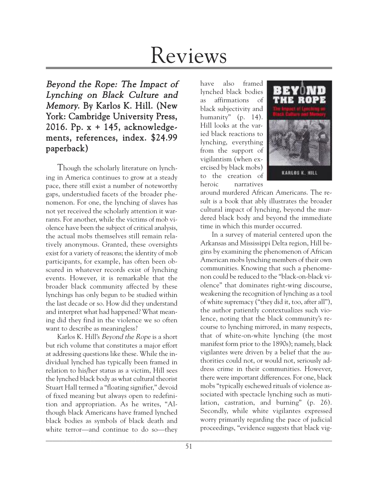# Reviews

Beyond the Rope: The Impact of Lynching on Black Culture and Memory. By Karlos K. Hill. (New York: Cambridge University Press, 2016. Pp. x + 145, acknowledgements, references, index. \$24.99 paperback)

Though the scholarly literature on lynching in America continues to grow at a steady pace, there still exist a number of noteworthy gaps, understudied facets of the broader phenomenon. For one, the lynching of slaves has not yet received the scholarly attention it warrants. For another, while the victims of mob violence have been the subject of critical analysis, the actual mobs themselves still remain relatively anonymous. Granted, these oversights exist for a variety of reasons; the identity of mob participants, for example, has often been obscured in whatever records exist of lynching events. However, it is remarkable that the broader black community affected by these lynchings has only begun to be studied within the last decade or so. How did they understand and interpret what had happened? What meaning did they find in the violence we so often want to describe as meaningless?

Karlos K. Hill's Beyond the Rope is a short but rich volume that constitutes a major effort at addressing questions like these. While the individual lynched has typically been framed in relation to his/her status as a victim, Hill sees the lynched black body as what cultural theorist Stuart Hall termed a "floating signifier," devoid of fixed meaning but always open to redefinition and appropriation. As he writes, "Although black Americans have framed lynched black bodies as symbols of black death and white terror—and continue to do so—they

have also framed lynched black bodies as affirmations of black subjectivity and humanity" (p. 14). Hill looks at the varied black reactions to lynching, everything from the support of vigilantism (when exercised by black mobs) to the creation of heroic narratives



around murdered African Americans. The result is a book that ably illustrates the broader cultural impact of lynching, beyond the murdered black body and beyond the immediate time in which this murder occurred.

In a survey of material centered upon the Arkansas and Mississippi Delta region, Hill begins by examining the phenomenon of African American mobs lynching members of their own communities. Knowing that such a phenomenon could be reduced to the "black-on-black violence" that dominates right-wing discourse, weakening the recognition of lynching as a tool of white supremacy ("they did it, too, after all"), the author patiently contextualizes such violence, noting that the black community's recourse to lynching mirrored, in many respects, that of white-on-white lynching (the most manifest form prior to the 1890s); namely, black vigilantes were driven by a belief that the authorities could not, or would not, seriously address crime in their communities. However, there were important differences. For one, black mobs "typically eschewed rituals of violence associated with spectacle lynching such as mutilation, castration, and burning" (p. 26). Secondly, while white vigilantes expressed worry primarily regarding the pace of judicial proceedings, "evidence suggests that black vig-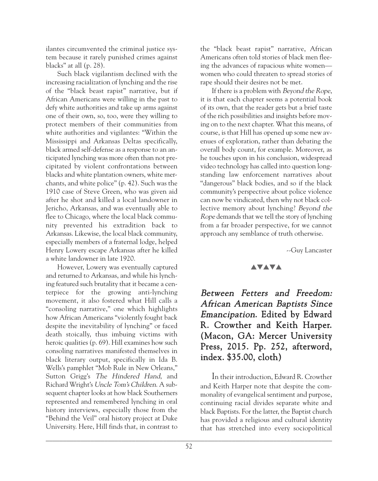ilantes circumvented the criminal justice system because it rarely punished crimes against blacks" at all (p. 28).

Such black vigilantism declined with the increasing racialization of lynching and the rise of the "black beast rapist" narrative, but if African Americans were willing in the past to defy white authorities and take up arms against one of their own, so, too, were they willing to protect members of their communities from white authorities and vigilantes: "Within the Mississippi and Arkansas Deltas specifically, black armed self-defense as a response to an anticipated lynching was more often than not precipitated by violent confrontations between blacks and white plantation owners, white merchants, and white police" (p. 42). Such was the 1910 case of Steve Green, who was given aid after he shot and killed a local landowner in Jericho, Arkansas, and was eventually able to flee to Chicago, where the local black community prevented his extradition back to Arkansas. Likewise, the local black community, especially members of a fraternal lodge, helped Henry Lowery escape Arkansas after he killed a white landowner in late 1920.

However, Lowery was eventually captured and returned to Arkansas, and while his lynching featured such brutality that it became a centerpiece for the growing anti-lynching movement, it also fostered what Hill calls a "consoling narrative," one which highlights how African Americans "violently fought back despite the inevitability of lynching" or faced death stoically, thus imbuing victims with heroic qualities (p. 69). Hill examines how such consoling narratives manifested themselves in black literary output, specifically in Ida B. Wells's pamphlet "Mob Rule in New Orleans," Sutton Grigg's The Hindered Hand, and Richard Wright's Uncle Tom's Children. A subsequent chapter looks at how black Southerners represented and remembered lynching in oral history interviews, especially those from the "Behind the Veil" oral history project at Duke University. Here, Hill finds that, in contrast to the "black beast rapist" narrative, African Americans often told stories of black men fleeing the advances of rapacious white women women who could threaten to spread stories of rape should their desires not be met.

If there is a problem with Beyond the Rope, it is that each chapter seems a potential book of its own, that the reader gets but a brief taste of the rich possibilities and insights before moving on to the next chapter. What this means, of course, is that Hill has opened up some new avenues of exploration, rather than debating the overall body count, for example. Moreover, as he touches upon in his conclusion, widespread video technology has called into question longstanding law enforcement narratives about "dangerous" black bodies, and so if the black community's perspective about police violence can now be vindicated, then why not black collective memory about lynching? Beyond the Rope demands that we tell the story of lynching from a far broader perspective, for we cannot approach any semblance of truth otherwise.

--Guy Lancaster

#### **AVAVA**

Between Fetters and Freedom: African American Baptists Since Emancipation. Edited by Edward R. Crowther and Keith Harper. (Macon, GA: Mercer University Press, 2015. Pp. 252, afterword, index. \$35.00, cloth)

In their introduction, Edward R. Crowther and Keith Harper note that despite the commonality of evangelical sentiment and purpose, continuing racial divides separate white and black Baptists. For the latter, the Baptist church has provided a religious and cultural identity that has stretched into every sociopolitical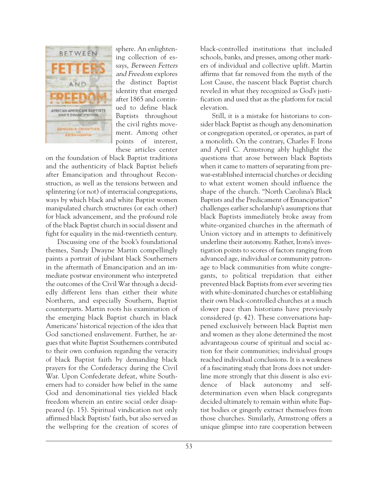

sphere. An enlightening collection of essays, Between Fetters and Freedom explores the distinct Baptist identity that emerged after 1865 and continued to define black Baptists throughout the civil rights movement. Among other points of interest, these articles center

on the foundation of black Baptist traditions and the authenticity of black Baptist beliefs after Emancipation and throughout Reconstruction, as well as the tensions between and splintering (or not) of interracial congregations, ways by which black and white Baptist women manipulated church structures (or each other) for black advancement, and the profound role of the black Baptist church in social dissent and fight for equality in the mid-twentieth century.

Discussing one of the book's foundational themes, Sandy Dwayne Martin compellingly paints a portrait of jubilant black Southerners in the aftermath of Emancipation and an immediate postwar environment who interpreted the outcomes of the Civil War through a decidedly different lens than either their white Northern, and especially Southern, Baptist counterparts. Martin roots his examination of the emerging black Baptist church in black Americans' historical rejection of the idea that God sanctioned enslavement. Further, he argues that white Baptist Southerners contributed to their own confusion regarding the veracity of black Baptist faith by demanding black prayers for the Confederacy during the Civil War. Upon Confederate defeat, white Southerners had to consider how belief in the same God and denominational ties yielded black freedom wherein an entire social order disappeared (p. 15). Spiritual vindication not only affirmed black Baptists' faith, but also served as the wellspring for the creation of scores of black-controlled institutions that included schools, banks, and presses, among other markers of individual and collective uplift. Martin affirms that far removed from the myth of the Lost Cause, the nascent black Baptist church reveled in what they recognized as God's justification and used that as the platform for racial elevation.

Still, it is a mistake for historians to consider black Baptist as though any denomination or congregation operated, or operates, as part of a monolith. On the contrary, Charles F. Irons and April C. Armstrong ably highlight the questions that arose between black Baptists when it came to matters of separating from prewar-established interracial churches or deciding to what extent women should influence the shape of the church. "North Carolina's Black Baptists and the Predicament of Emancipation" challenges earlier scholarship's assumptions that black Baptists immediately broke away from white-organized churches in the aftermath of Union victory and in attempts to definitively underline their autonomy. Rather, Irons's investigation points to scores of factors ranging from advanced age, individual or community patronage to black communities from white congregants, to political trepidation that either prevented black Baptists from ever severing ties with white-dominated churches or establishing their own black-controlled churches at a much slower pace than historians have previously considered (p. 42). These conversations happened exclusively between black Baptist men and women as they alone determined the most advantageous course of spiritual and social action for their communities; individual groups reached individual conclusions. It is a weakness of a fascinating study that Irons does not underline more strongly that this dissent is also evidence of black autonomy and selfdetermination even when black congregants decided ultimately to remain within white Baptist bodies or gingerly extract themselves from those churches. Similarly, Armstrong offers a unique glimpse into rare cooperation between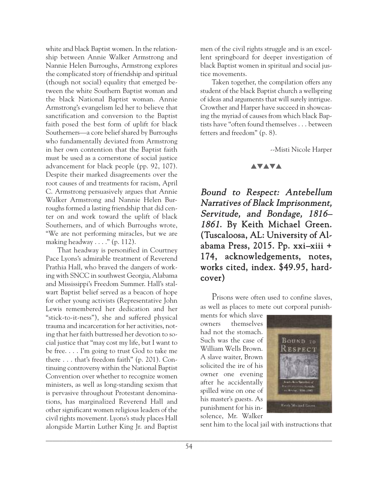white and black Baptist women. In the relationship between Annie Walker Armstrong and Nannie Helen Burroughs, Armstrong explores the complicated story of friendship and spiritual (though not social) equality that emerged between the white Southern Baptist woman and the black National Baptist woman. Annie Armstrong's evangelism led her to believe that sanctification and conversion to the Baptist faith posed the best form of uplift for black Southerners—a core belief shared by Burroughs who fundamentally deviated from Armstrong in her own contention that the Baptist faith must be used as a cornerstone of social justice advancement for black people (pp. 92, 107). Despite their marked disagreements over the root causes of and treatments for racism, April C. Armstrong persuasively argues that Annie Walker Armstrong and Nannie Helen Burroughs formed a lasting friendship that did center on and work toward the uplift of black Southerners, and of which Burroughs wrote, "We are not performing miracles, but we are making headway  $\dots$ ." (p. 112).

That headway is personified in Courtney Pace Lyons's admirable treatment of Reverend Prathia Hall, who braved the dangers of working with SNCC in southwest Georgia, Alabama and Mississippi's Freedom Summer. Hall's stalwart Baptist belief served as a beacon of hope for other young activists (Representative John Lewis remembered her dedication and her "stick-to-it-ness"), she and suffered physical trauma and incarceration for her activities, noting that her faith buttressed her devotion to social justice that "may cost my life, but I want to be free. . . . I'm going to trust God to take me there . . . that's freedom faith" (p. 201). Continuing controversy within the National Baptist Convention over whether to recognize women ministers, as well as long-standing sexism that is pervasive throughout Protestant denominations, has marginalized Reverend Hall and other significant women religious leaders of the civil rights movement. Lyons's study places Hall alongside Martin Luther King Jr. and Baptist men of the civil rights struggle and is an excellent springboard for deeper investigation of black Baptist women in spiritual and social justice movements.

Taken together, the compilation offers any student of the black Baptist church a wellspring of ideas and arguments that will surely intrigue. Crowther and Harper have succeed in showcasing the myriad of causes from which black Baptists have "often found themselves . . . between fetters and freedom" (p. 8).

--Misti Nicole Harper

#### **AVAVA**

Bound to Respect: Antebellum Narratives of Black Imprisonment, Servitude, and Bondage, 1816– 1861. By Keith Michael Green. (Tuscaloosa, AL: University of Alabama Press, 2015. Pp. xxi–xiii + 174, acknowledgements, notes, works cited, index. \$49.95, hardcover)

Prisons were often used to confine slaves, as well as places to mete out corporal punish-

ments for which slave owners themselves had not the stomach. Such was the case of William Wells Brown. A slave waiter, Brown solicited the ire of his owner one evening after he accidentally spilled wine on one of his master's guests. As punishment for his insolence, Mr. Walker



sent him to the local jail with instructions that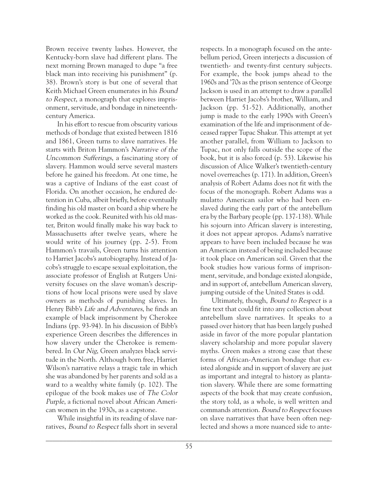Brown receive twenty lashes. However, the Kentucky-born slave had different plans. The next morning Brown managed to dupe "a free black man into receiving his punishment" (p. 38). Brown's story is but one of several that Keith Michael Green enumerates in his Bound to Respect, a monograph that explores imprisonment, servitude, and bondage in nineteenthcentury America.

In his effort to rescue from obscurity various methods of bondage that existed between 1816 and 1861, Green turns to slave narratives. He starts with Briton Hammon's Narrative of the Uncommon Sufferings, a fascinating story of slavery. Hammon would serve several masters before he gained his freedom. At one time, he was a captive of Indians of the east coast of Florida. On another occasion, he endured detention in Cuba, albeit briefly, before eventually finding his old master on board a ship where he worked as the cook. Reunited with his old master, Briton would finally make his way back to Massachusetts after twelve years, where he would write of his journey (pp. 2-5). From Hammon's travails, Green turns his attention to Harriet Jacobs's autobiography. Instead of Jacobs's struggle to escape sexual exploitation, the associate professor of English at Rutgers University focuses on the slave woman's descriptions of how local prisons were used by slave owners as methods of punishing slaves. In Henry Bibb's Life and Adventures, he finds an example of black imprisonment by Cherokee Indians (pp. 93-94). In his discussion of Bibb's experience Green describes the differences in how slavery under the Cherokee is remembered. In Our Nig, Green analyzes black servitude in the North. Although born free, Harriet Wilson's narrative relays a tragic tale in which she was abandoned by her parents and sold as a ward to a wealthy white family (p. 102). The epilogue of the book makes use of The Color Purple, a fictional novel about African American women in the 1930s, as a capstone.

While insightful in its reading of slave narratives, Bound to Respect falls short in several respects. In a monograph focused on the antebellum period, Green interjects a discussion of twentieth- and twenty-first century subjects. For example, the book jumps ahead to the 1960s and '70s as the prison sentence of George Jackson is used in an attempt to draw a parallel between Harriet Jacobs's brother, William, and Jackson (pp. 51-52). Additionally, another jump is made to the early 1990s with Green's examination of the life and imprisonment of deceased rapper Tupac Shakur. This attempt at yet another parallel, from William to Jackson to Tupac, not only falls outside the scope of the book, but it is also forced (p. 53). Likewise his discussion of Alice Walker's twentieth-century novel overreaches (p. 171). In addition, Green's analysis of Robert Adams does not fit with the focus of the monograph. Robert Adams was a mulatto American sailor who had been enslaved during the early part of the antebellum era by the Barbary people (pp. 137-138). While his sojourn into African slavery is interesting, it does not appear apropos. Adams's narrative appears to have been included because he was an American instead of being included because it took place on American soil. Given that the book studies how various forms of imprisonment, servitude, and bondage existed alongside, and in support of, antebellum American slavery, jumping outside of the United States is odd.

Ultimately, though, Bound to Respect is a fine text that could fit into any collection about antebellum slave narratives. It speaks to a passed over history that has been largely pushed aside in favor of the more popular plantation slavery scholarship and more popular slavery myths. Green makes a strong case that these forms of African-American bondage that existed alongside and in support of slavery are just as important and integral to history as plantation slavery. While there are some formatting aspects of the book that may create confusion, the story told, as a whole, is well written and commands attention. Bound to Respect focuses on slave narratives that have been often neglected and shows a more nuanced side to ante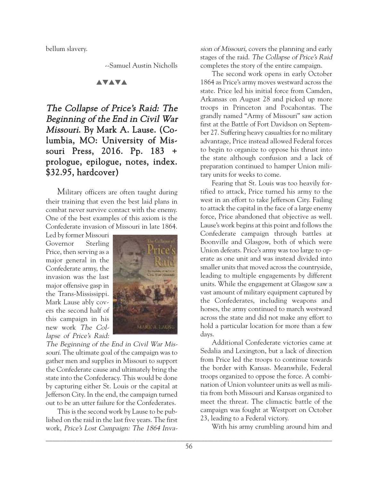bellum slavery.

--Samuel Austin Nicholls

## **AVAVA**

# The Collapse of Price's Raid: The Beginning of the End in Civil War Missouri. By Mark A. Lause. (Columbia, MO: University of Missouri Press, 2016. Pp. 183 + prologue, epilogue, notes, index. \$32.95, hardcover)

Military officers are often taught during their training that even the best laid plans in combat never survive contact with the enemy. One of the best examples of this axiom is the Confederate invasion of Missouri in late 1864.

Led by former Missouri Governor Sterling Price, then serving as a major general in the Confederate army, the invasion was the last major offensive gasp in the Trans-Mississippi. Mark Lause ably covers the second half of this campaign in his new work The Collapse of Price's Raid:



The Beginning of the End in Civil War Missouri. The ultimate goal of the campaign was to gather men and supplies in Missouri to support the Confederate cause and ultimately bring the state into the Confederacy. This would be done by capturing either St. Louis or the capital at Jefferson City. In the end, the campaign turned out to be an utter failure for the Confederates.

This is the second work by Lause to be published on the raid in the last five years. The first work, Price's Lost Campaign: The <sup>1864</sup> Invasion of Missouri, covers the planning and early stages of the raid. The Collapse of Price's Raid completes the story of the entire campaign.

The second work opens in early October 1864 as Price's army moves westward across the state. Price led his initial force from Camden, Arkansas on August 28 and picked up more troops in Princeton and Pocahontas. The grandly named "Army of Missouri" saw action first at the Battle of Fort Davidson on September 27. Suffering heavy casualties for no military advantage, Price instead allowed Federal forces to begin to organize to oppose his thrust into the state although confusion and a lack of preparation continued to hamper Union military units for weeks to come.

Fearing that St. Louis was too heavily fortified to attack, Price turned his army to the west in an effort to take Jefferson City. Failing to attack the capital in the face of a large enemy force, Price abandoned that objective as well. Lause's work begins at this point and follows the Confederate campaign through battles at Boonville and Glasgow, both of which were Union defeats. Price's army was too large to operate as one unit and was instead divided into smaller units that moved across the countryside, leading to multiple engagements by different units. While the engagement at Glasgow saw a vast amount of military equipment captured by the Confederates, including weapons and horses, the army continued to march westward across the state and did not make any effort to hold a particular location for more than a few days.

Additional Confederate victories came at Sedalia and Lexington, but a lack of direction from Price led the troops to continue towards the border with Kansas. Meanwhile, Federal troops organized to oppose the force. A combination of Union volunteer units as well as militia from both Missouri and Kansas organized to meet the threat. The climactic battle of the campaign was fought at Westport on October 23, leading to a Federal victory.

With his army crumbling around him and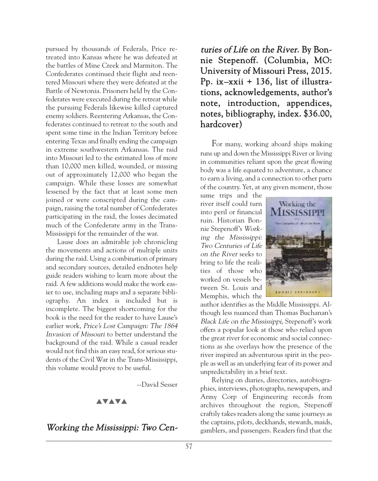pursued by thousands of Federals, Price retreated into Kansas where he was defeated at the battles of Mine Creek and Marmiton. The Confederates continued their flight and reentered Missouri where they were defeated at the Battle of Newtonia. Prisoners held by the Confederates were executed during the retreat while the pursuing Federals likewise killed captured enemy soldiers. Reentering Arkansas, the Confederates continued to retreat to the south and spent some time in the Indian Territory before entering Texas and finally ending the campaign in extreme southwestern Arkansas. The raid into Missouri led to the estimated loss of more than 10,000 men killed, wounded, or missing out of approximately 12,000 who began the campaign. While these losses are somewhat lessened by the fact that at least some men joined or were conscripted during the campaign, raising the total number of Confederates participating in the raid, the losses decimated much of the Confederate army in the Trans-Mississippi for the remainder of the war.

Lause does an admirable job chronicling the movements and actions of multiple units during the raid. Using a combination of primary and secondary sources, detailed endnotes help guide readers wishing to learn more about the raid. A few additions would make the work easier to use, including maps and a separate bibliography. An index is included but is incomplete. The biggest shortcoming for the book is the need for the reader to have Lause's earlier work, Price's Lost Campaign: The <sup>1864</sup> Invasion of Missouri to better understand the background of the raid. While a casual reader would not find this an easy read, for serious students of the Civil War in the Trans-Mississippi, this volume would prove to be useful.

--David Sesser

#### **AVAVA**

## Working the Mississippi: Two Cen-

turies of Life on the River. By Bonnie Stepenoff. (Columbia, MO: University of Missouri Press, 2015. Pp. ix–xxii + 136, list of illustrations, acknowledgements, author's note, introduction, appendices, notes, bibliography, index. \$36.00, hardcover)

For many, working aboard ships making runs up and down the Mississippi River or living in communities reliant upon the great flowing body was a life equated to adventure, a chance to earn a living, and a connection to other parts of the country. Yet, at any given moment, those

same trips and the river itself could turn into peril or financial ruin. Historian Bonnie Stepenoff's Working the Mississippi: Two Centuries of Life on the River seeks to bring to life the realities of those who worked on vessels between St. Louis and Memphis, which the



author identifies as the Middle Mississippi. Although less nuanced than Thomas Buchanan's Black Life on the Mississippi, Stepenoff's work offers a popular look at those who relied upon the great river for economic and social connections as she overlays how the presence of the river inspired an adventurous spirit in the people as well as an underlying fear of its power and unpredictability in a brief text.

Relying on diaries, directories, autobiographies, interviews, photographs, newspapers, and Army Corp of Engineering records from archives throughout the region, Stepenoff craftily takes readers along the same journeys as the captains, pilots, deckhands, stewards, maids, gamblers, and passengers. Readers find that the  $\Box$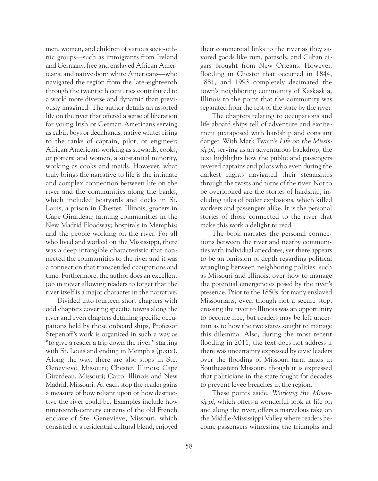men, women, and children of various socio-ethnic groups—such as immigrants from Ireland and Germany, free and enslaved African Americans, and native-born white Americans—who navigated the region from the late-eighteenth through the twentieth centuries contributed to a world more diverse and dynamic than previously imagined. The author details an assorted life on the river that offered a sense of liberation for young Irish or German Americans serving as cabin boys or deckhands; native whites rising to the ranks of captain, pilot, or engineer; African Americans working as stewards, cooks, or porters; and women, a substantial minority, working as cooks and maids. However, what truly brings the narrative to life is the intimate and complex connection between life on the river and the communities along the banks, which included boatyards and docks in St. Louis; a prison in Chester, Illinois; grocers in Cape Girardeau; farming communities in the New Madrid Floodway; hospitals in Memphis; and the people working on the river. For all who lived and worked on the Mississippi, there was a deep intangible characteristic that connected the communities to the river and it was a connection that transcended occupations and time. Furthermore, the author does an excellent job in never allowing readers to forget that the river itself is a major character in the narrative.

Divided into fourteen short chapters with odd chapters covering specific towns along the river and even chapters detailing specific occupations held by those onboard ships, Professor Stepenoff's work is organized in such a way as "to give a reader a trip down the river," starting with St. Louis and ending in Memphis (p.xix). Along the way, there are also stops in Ste. Genevieve, Missouri; Chester, Illinois; Cape Girardeau, Missouri; Cairo, Illinois and New Madrid, Missouri. At each stop the reader gains a measure of how reliant upon or how destructive the river could be. Examples include how nineteenth-century citizens of the old French enclave of Ste. Genevieve, Missouri, which consisted of a residential cultural blend, enjoyed their commercial links to the river as they savored goods like rum, parasols, and Cuban cigars brought from New Orleans. However, flooding in Chester that occurred in 1844, 1881, and 1993 completely decimated the town's neighboring community of Kaskaskia, Illinois to the point that the community was separated from the rest of the state by the river.

The chapters relating to occupations and life aboard ships tell of adventure and excitement juxtaposed with hardship and constant danger. With Mark Twain's Life on the Mississippi, serving as an adventurous backdrop, the text highlights how the public and passengers revered captains and pilots who even during the darkest nights navigated their steamships through the twists and turns of the river. Not to be overlooked are the stories of hardship, including tales of boiler explosions, which killed workers and passengers alike. It is the personal stories of those connected to the river that make this work a delight to read.

The book narrates the personal connections between the river and nearby communities with individual anecdotes, yet there appears to be an omission of depth regarding political wrangling between neighboring polities, such as Missouri and Illinois, over how to manage the potential emergencies posed by the river's presence. Prior to the 1850s, for many enslaved Missourians, even though not a secure stop, crossing the river to Illinois was an opportunity to become free, but readers may be left uncertain as to how the two states sought to manage this dilemma. Also, during the most recent flooding in 2011, the text does not address if there was uncertainty expressed by civic leaders over the flooding of Missouri farm lands in Southeastern Missouri, though it is expressed that politicians in the state fought for decades to prevent levee breaches in the region.

These points aside, Working the Mississippi, which offers a wonderful look at life on and along the river, offers a marvelous take on the Middle-Mississippi Valley where readers become passengers witnessing the triumphs and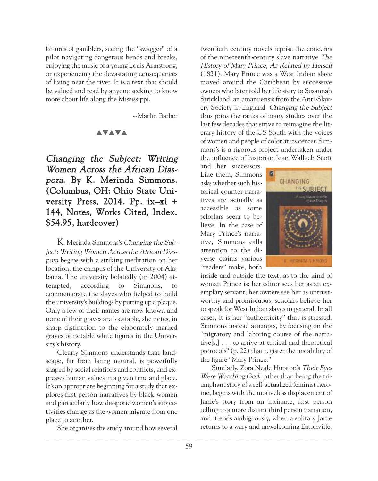failures of gamblers, seeing the "swagger" of a pilot navigating dangerous bends and breaks, enjoying the music of a young Louis Armstrong, or experiencing the devastating consequences of living near the river. It is a text that should be valued and read by anyone seeking to know more about life along the Mississippi.

--Marlin Barber

#### **AVAVA**

## Changing the Subject: Writing Women Across the African Diaspora. By K. Merinda Simmons. (Columbus, OH: Ohio State University Press, 2014. Pp. ix–xi + 144, Notes, Works Cited, Index. \$54.95, hardcover)

K. Merinda Simmons's Changing the Subject: Writing Women Across the African Diaspora begins with a striking meditation on her location, the campus of the University of Alabama. The university belatedly (in 2004) attempted, according to Simmons, to commemorate the slaves who helped to build the university's buildings by putting up a plaque. Only a few of their names are now known and none of their graves are locatable, she notes, in sharp distinction to the elaborately marked graves of notable white figures in the University's history.

Clearly Simmons understands that landscape, far from being natural, is powerfully shaped by social relations and conflicts, and expresses human values in a given time and place. It's an appropriate beginning for a study that explores first person narratives by black women and particularly how diasporic women's subjectivities change as the women migrate from one place to another.

She organizes the study around how several

twentieth century novels reprise the concerns of the nineteenth-century slave narrative The History of Mary Prince, As Related by Herself (1831). Mary Prince was a West Indian slave moved around the Caribbean by successive owners who later told her life story to Susannah Strickland, an amanuensis from the Anti-Slavery Society in England. Changing the Subject thus joins the ranks of many studies over the last few decades that strive to reimagine the literary history of the US South with the voices of women and people of color at its center. Simmons's is a rigorous project undertaken under the influence of historian Joan Wallach Scott

and her successors. Like them, Simmons asks whether such historical counter narratives are actually as accessible as some scholars seem to believe. In the case of Mary Prince's narrative, Simmons calls attention to the diverse claims various "readers" make, both



inside and outside the text, as to the kind of woman Prince is: her editor sees her as an exemplary servant; her owners see her as untrustworthy and promiscuous; scholars believe her to speak for West Indian slaves in general. In all cases, it is her "authenticity" that is stressed. Simmons instead attempts, by focusing on the "migratory and laboring course of the narrative[s,] . . . to arrive at critical and theoretical protocols" (p. 22) that register the instability of the figure "Mary Prince."

Similarly, Zora Neale Hurston's Their Eyes Were Watching God, rather than being the triumphant story of a self-actualized feminist heroine, begins with the motiveless displacement of Janie's story from an intimate, first person telling to a more distant third person narration, and it ends ambiguously, when a solitary Janie returns to a wary and unwelcoming Eatonville.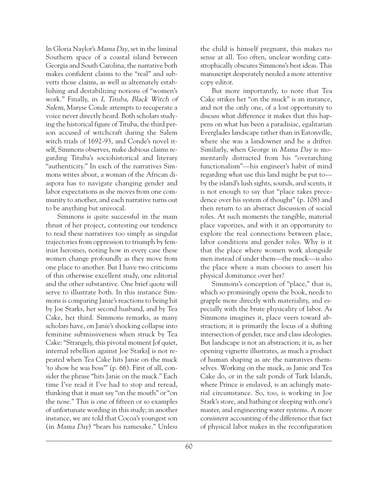In Gloria Naylor's Mama Day, set in the liminal Southern space of a coastal island between Georgia and South Carolina, the narrative both makes confident claims to the "real" and subverts those claims, as well as alternately establishing and destabilizing notions of "women's work." Finally, in I, Tituba, Black Witch of Salem, Maryse Conde attempts to recuperate a voice never directly heard. Both scholars studying the historical figure of Tituba, the third person accused of witchcraft during the Salem witch trials of 1692-93, and Conde's novel itself, Simmons observes, make dubious claims regarding Tituba's sociohistorical and literary "authenticity." In each of the narratives Simmons writes about, a woman of the African diaspora has to navigate changing gender and labor expectations as she moves from one community to another, and each narrative turns out to be anything but univocal.

Simmons is quite successful in the main thrust of her project, contesting our tendency to read these narratives too simply as singular trajectories from oppression to triumph by feminist heroines, noting how in every case these women change profoundly as they move from one place to another. But I have two criticisms of this otherwise excellent study, one editorial and the other substantive. One brief quote will serve to illustrate both. In this instance Simmons is comparing Janie's reactions to being hit by Joe Starks, her second husband, and by Tea Cake, her third. Simmons remarks, as many scholars have, on Janie's shocking collapse into feminine submissiveness when struck by Tea Cake: "Strangely, this pivotal moment [of quiet, internal rebellion against Joe Starks] is not repeated when Tea Cake hits Janie on the muck 'to show he was boss'" (p. 66). First of all, consider the phrase "hits Janie on the muck." Each time I've read it I've had to stop and reread, thinking that it must say "on the mouth" or "on the nose." This is one of fifteen or so examples of unfortunate wording in this study; in another instance, we are told that Cocoa's youngest son (in Mama Day) "bears his namesake." Unless the child is himself pregnant, this makes no sense at all. Too often, unclear wording catastrophically obscures Simmons's best ideas. This manuscript desperately needed a more attentive copy editor.

But more importantly, to note that Tea Cake strikes her "on the muck" is an instance, and not the only one, of a lost opportunity to discuss what difference it makes that this happens on what has been a paradisiac, egalitarian Everglades landscape rather than in Eatonville, where she was a landowner and he a drifter. Similarly, when George in Mama Day is momentarily distracted from his "overarching functionalism"—his engineer's habit of mind regarding what use this land might be put to by the island's lush sights, sounds, and scents, it is not enough to say that "place takes precedence over his system of thought" (p. 108) and then return to an abstract discussion of social roles. At such moments the tangible, material place vaporizes, and with it an opportunity to explore the real connections between place, labor conditions and gender roles. Why is it that the place where women work alongside men instead of under them—the muck—is also the place where a man chooses to assert his physical dominance over her?

Simmons's conception of "place," that is, which so promisingly opens the book, needs to grapple more directly with materiality, and especially with the brute physicality of labor. As Simmons imagines it, place veers toward abstraction; it is primarily the locus of a shifting intersection of gender, race and class ideologies. But landscape is not an abstraction; it is, as her opening vignette illustrates, as much a product of human shaping as are the narratives themselves. Working on the muck, as Janie and Tea Cake do, or in the salt ponds of Turk Islands, where Prince is enslaved, is an achingly material circumstance. So, too, is working in Joe Stark's store, and bathing or sleeping with one's master, and engineering water systems. A more consistent accounting of the difference that fact of physical labor makes in the reconfiguration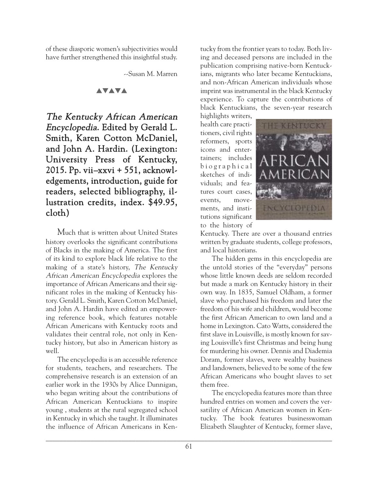of these diasporic women's subjectivities would have further strengthened this insightful study.

--Susan M. Marren

## **AVAVA**

The Kentucky African American Encyclopedia. Edited by Gerald L. Smith, Karen Cotton McDaniel, and John A. Hardin. (Lexington: University Press of Kentucky, 2015. Pp. vii–xxvi + 551, acknowledgements, introduction, guide for readers, selected bibliography, illustration credits, index. \$49.95, cloth)

Much that is written about United States history overlooks the significant contributions of Blacks in the making of America. The first of its kind to explore black life relative to the making of a state's history, The Kentucky African American Encyclopedia explores the importance of African Americans and their significant roles in the making of Kentucky history. Gerald L. Smith, Karen Cotton McDaniel, and John A. Hardin have edited an empowering reference book, which features notable African Americans with Kentucky roots and validates their central role, not only in Kentucky history, but also in American history as well.

The encyclopedia is an accessible reference for students, teachers, and researchers. The comprehensive research is an extension of an earlier work in the 1930s by Alice Dunnigan, who began writing about the contributions of African American Kentuckians to inspire young , students at the rural segregated school in Kentucky in which she taught. It illuminates the influence of African Americans in Kentucky from the frontier years to today. Both living and deceased persons are included in the publication comprising native-born Kentuckians, migrants who later became Kentuckians, and non-African American individuals whose imprint was instrumental in the black Kentucky experience. To capture the contributions of black Kentuckians, the seven-year research

highlights writers, health care practitioners, civil rights reformers, sports icons and entertainers; includes b i o g r a p h i c a l sketches of individuals; and features court cases, events, movements, and institutions significant to the history of



Kentucky. There are over a thousand entries written by graduate students, college professors, and local historians.

The hidden gems in this encyclopedia are the untold stories of the "everyday" persons whose little known deeds are seldom recorded but made a mark on Kentucky history in their own way. In 1835, Samuel Oldham, a former slave who purchased his freedom and later the freedom of his wife and children, would become the first African American to own land and a home in Lexington. Cato Watts, considered the first slave in Louisville, is mostly known for saving Louisville's first Christmas and being hung for murdering his owner. Dennis and Diademia Doram, former slaves, were wealthy business and landowners, believed to be some of the few African Americans who bought slaves to set them free.

The encyclopedia features more than three hundred entries on women and covers the versatility of African American women in Kentucky. The book features businesswoman Elizabeth Slaughter of Kentucky, former slave,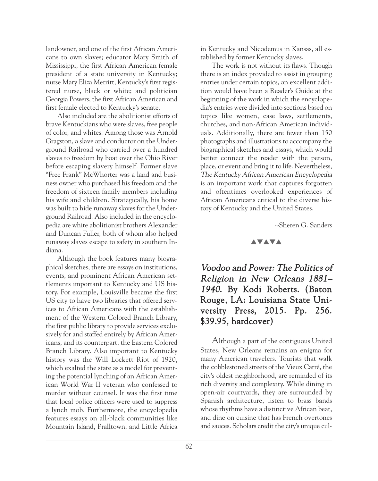landowner, and one of the first African Americans to own slaves; educator Mary Smith of Mississippi, the first African American female president of a state university in Kentucky; nurse Mary Eliza Merritt, Kentucky's first registered nurse, black or white; and politician Georgia Powers, the first African American and first female elected to Kentucky's senate.

Also included are the abolitionist efforts of brave Kentuckians who were slaves, free people of color, and whites. Among those was Arnold Gragston, a slave and conductor on the Underground Railroad who carried over a hundred slaves to freedom by boat over the Ohio River before escaping slavery himself. Former slave "Free Frank" McWhorter was a land and business owner who purchased his freedom and the freedom of sixteen family members including his wife and children. Strategically, his home was built to hide runaway slaves for the Underground Railroad. Also included in the encyclopedia are white abolitionist brothers Alexander and Duncan Fuller, both of whom also helped runaway slaves escape to safety in southern Indiana.

Although the book features many biographical sketches, there are essays on institutions, events, and prominent African American settlements important to Kentucky and US history. For example, Louisville became the first US city to have two libraries that offered services to African Americans with the establishment of the Western Colored Branch Library, the first public library to provide services exclusively for and staffed entirely by African Americans, and its counterpart, the Eastern Colored Branch Library. Also important to Kentucky history was the Will Lockett Riot of 1920, which exalted the state as a model for preventing the potential lynching of an African American World War II veteran who confessed to murder without counsel. It was the first time that local police officers were used to suppress a lynch mob. Furthermore, the encyclopedia features essays on all-black communities like Mountain Island, Pralltown, and Little Africa in Kentucky and Nicodemus in Kansas, all established by former Kentucky slaves.

The work is not without its flaws. Though there is an index provided to assist in grouping entries under certain topics, an excellent addition would have been a Reader's Guide at the beginning of the work in which the encyclopedia's entries were divided into sections based on topics like women, case laws, settlements, churches, and non-African American individuals. Additionally, there are fewer than 150 photographs and illustrations to accompany the biographical sketches and essays, which would better connect the reader with the person, place, or event and bring it to life. Nevertheless, The Kentucky African American Encyclopedia is an important work that captures forgotten and oftentimes overlooked experiences of African Americans critical to the diverse history of Kentucky and the United States.

--Sheren G. Sanders

#### **AVAVA**

# Voodoo and Power: The Politics of Religion in New Orleans 1881– 1940. By Kodi Roberts. (Baton Rouge, LA: Louisiana State University Press, 2015. Pp. 256. \$39.95, hardcover)

Although a part of the contiguous United States, New Orleans remains an enigma for many American travelers. Tourists that walk the cobblestoned streets of the Vieux Carré, the city's oldest neighborhood, are reminded of its rich diversity and complexity. While dining in open-air courtyards, they are surrounded by Spanish architecture, listen to brass bands whose rhythms have a distinctive African beat, and dine on cuisine that has French overtones and sauces. Scholars credit the city's unique cul-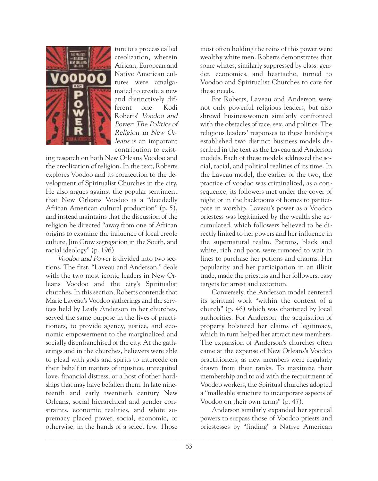

ture to a process called creolization, wherein African, European and Native American cultures were amalgamated to create a new and distinctively different one. Kodi Roberts' Voodoo and Power: The Politics of Religion in New Orleans is an important contribution to exist-

ing research on both New Orleans Voodoo and the creolization of religion. In the text, Roberts explores Voodoo and its connection to the development of Spiritualist Churches in the city. He also argues against the popular sentiment that New Orleans Voodoo is a "decidedly African American cultural production" (p. 5), and instead maintains that the discussion of the religion be directed "away from one of African origins to examine the influence of local creole culture, Jim Crow segregation in the South, and racial ideology" (p. 196).

Voodoo and Power is divided into two sections. The first, "Laveau and Anderson," deals with the two most iconic leaders in New Orleans Voodoo and the city's Spiritualist churches. In this section, Roberts contends that Marie Laveau's Voodoo gatherings and the services held by Leafy Anderson in her churches, served the same purpose in the lives of practitioners, to provide agency, justice, and economic empowerment to the marginalized and socially disenfranchised of the city. At the gatherings and in the churches, believers were able to plead with gods and spirits to intercede on their behalf in matters of injustice, unrequited love, financial distress, or a host of other hardships that may have befallen them. In late nineteenth and early twentieth century New Orleans, social hierarchical and gender constraints, economic realities, and white supremacy placed power, social, economic, or otherwise, in the hands of a select few. Those

most often holding the reins of this power were wealthy white men. Roberts demonstrates that some whites, similarly suppressed by class, gender, economics, and heartache, turned to Voodoo and Spiritualist Churches to care for these needs.

For Roberts, Laveau and Anderson were not only powerful religious leaders, but also shrewd businesswomen similarly confronted with the obstacles of race, sex, and politics. The religious leaders' responses to these hardships established two distinct business models described in the text as the Laveau and Anderson models. Each of these models addressed the social, racial, and political realities of its time. In the Laveau model, the earlier of the two, the practice of voodoo was criminalized, as a consequence, its followers met under the cover of night or in the backrooms of homes to participate in worship. Laveau's power as a Voodoo priestess was legitimized by the wealth she accumulated, which followers believed to be directly linked to her powers and her influence in the supernatural realm. Patrons, black and white, rich and poor, were rumored to wait in lines to purchase her potions and charms. Her popularity and her participation in an illicit trade, made the priestess and her followers, easy targets for arrest and extortion.

Conversely, the Anderson model centered its spiritual work "within the context of a church" (p. 46) which was chartered by local authorities. For Anderson, the acquisition of property bolstered her claims of legitimacy, which in turn helped her attract new members. The expansion of Anderson's churches often came at the expense of New Orleans's Voodoo practitioners, as new members were regularly drawn from their ranks. To maximize their membership and to aid with the recruitment of Voodoo workers, the Spiritual churches adopted a "malleable structure to incorporate aspects of Voodoo on their own terms" (p. 47).

Anderson similarly expanded her spiritual powers to surpass those of Voodoo priests and priestesses by "finding" a Native American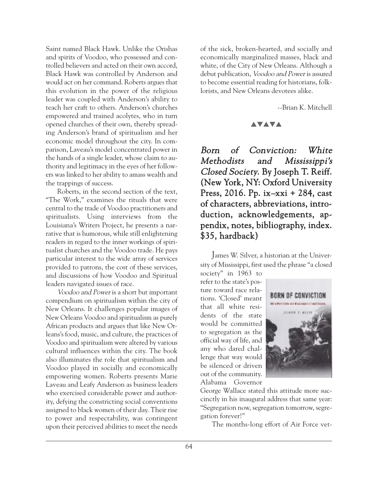Saint named Black Hawk. Unlike the Orishas and spirits of Voodoo, who possessed and controlled believers and acted on their own accord, Black Hawk was controlled by Anderson and would act on her command. Roberts argues that this evolution in the power of the religious leader was coupled with Anderson's ability to teach her craft to others. Anderson's churches empowered and trained acolytes, who in turn opened churches of their own, thereby spreading Anderson's brand of spiritualism and her economic model throughout the city. In comparison, Laveau's model concentrated power in the hands of a single leader, whose claim to authority and legitimacy in the eyes of her followers was linked to her ability to amass wealth and the trappings of success.

Roberts, in the second section of the text, "The Work," examines the rituals that were central to the trade of Voodoo practitioners and spiritualists. Using interviews from the Louisiana's Writers Project, he presents a narrative that is humorous, while still enlightening readers in regard to the inner workings of spiritualist churches and the Voodoo trade. He pays particular interest to the wide array of services provided to patrons, the cost of these services, and discussions of how Voodoo and Spiritual leaders navigated issues of race.

Voodoo and Power is a short but important compendium on spiritualism within the city of New Orleans. It challenges popular images of New Orleans Voodoo and spiritualism as purely African products and argues that like New Orleans's food, music, and culture, the practices of Voodoo and spiritualism were altered by various cultural influences within the city. The book also illuminates the role that spiritualism and Voodoo played in socially and economically empowering women. Roberts presents Marie Laveau and Leafy Anderson as business leaders who exercised considerable power and authority, defying the constricting social conventions assigned to black women of their day. Their rise to power and respectability, was contingent upon their perceived abilities to meet the needs of the sick, broken-hearted, and socially and economically marginalized masses, black and white, of the City of New Orleans. Although a debut publication, Voodoo and Power is assured to become essential reading for historians, folklorists, and New Orleans devotees alike.

--Brian K. Mitchell

#### **AVAVA**

Born of Conviction: White Methodists and Mississippi's Closed Society. By Joseph T. Reiff. (New York, NY: Oxford University Press, 2016. Pp. ix–xxi + 284, cast of characters, abbreviations, introduction, acknowledgements, appendix, notes, bibliography, index. \$35, hardback)

James W. Silver, a historian at the University of Mississippi, first used the phrase "a closed

society" in 1963 to refer to the state's posture toward race relations. 'Closed' meant that all white residents of the state would be committed to segregation as the official way of life, and any who dared challenge that way would be silenced or driven out of the community. Alabama Governor



George Wallace stated this attitude more succinctly in his inaugural address that same year: "Segregation now, segregation tomorrow, segregation forever!"

The months-long effort of Air Force vet-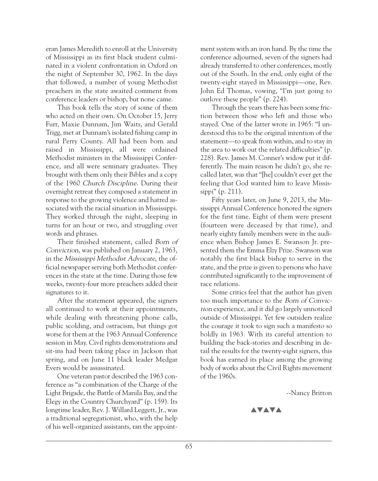eran James Meredith to enroll at the University of Mississippi as its first black student culminated in a violent confrontation in Oxford on the night of September 30, 1962. In the days that followed, a number of young Methodist preachers in the state awaited comment from conference leaders or bishop, but none came.

This book tells the story of some of them who acted on their own. On October 15, Jerry Furr, Maxie Dunnam, Jim Waits, and Gerald Trigg, met at Dunnam's isolated fishing camp in rural Perry County. All had been born and raised in Mississippi, all were ordained Methodist ministers in the Mississippi Conference, and all were seminary graduates. They brought with them only their Bibles and a copy of the 1960 Church Discipline. During their overnight retreat they composed a statement in response to the growing violence and hatred associated with the racial situation in Mississippi. They worked through the night, sleeping in turns for an hour or two, and struggling over words and phrases.

Their finished statement, called Born of Conviction, was published on January 2, 1963, in the Mississippi Methodist Advocate, the official newspaper serving both Methodist conferences in the state at the time. During those few weeks, twenty-four more preachers added their signatures to it.

After the statement appeared, the signers all continued to work at their appointments, while dealing with threatening phone calls, public scolding, and ostracism, but things got worse for them at the 1963 Annual Conference session in May. Civil rights demonstrations and sit-ins had been taking place in Jackson that spring, and on June 11 black leader Medgar Evers would be assassinated.

One veteran pastor described the 1963 conference as "a combination of the Charge of the Light Brigade, the Battle of Manila Bay, and the Elegy in the Country Churchyard" (p. 159). Its longtime leader, Rev. J. Willard Leggett, Jr., was a traditional segregationist, who, with the help of his well-organized assistants, ran the appointment system with an iron hand. By the time the conference adjourned, seven of the signers had already transferred to other conferences, mostly out of the South. In the end, only eight of the twenty-eight stayed in Mississippi—one, Rev. John Ed Thomas, vowing, "I'm just going to outlove these people" (p. 224).

Through the years there has been some friction between those who left and those who stayed. One of the latter wrote in 1965: "I understood this to be the original intention of the statement—to speak from within, and to stay in the area to work out the related difficulties" (p. 228). Rev. James M. Conner's widow put it differently. The main reason he didn't go, she recalled later, was that "[he] couldn't ever get the feeling that God wanted him to leave Mississippi" (p. 211).

Fifty years later, on June 9, 2013, the Mississippi Annual Conference honored the signers for the first time. Eight of them were present (fourteen were deceased by that time), and nearly eighty family members were in the audience when Bishop James E. Swanson Jr. presented them the Emma Elzy Prize. Swanson was notably the first black bishop to serve in the state, and the prize is given to persons who have contributed significantly to the improvement of race relations.

Some critics feel that the author has given too much importance to the Born of Conviction experience, and it did go largely unnoticed outside of Mississippi. Yet few outsiders realize the courage it took to sign such a manifesto so boldly in 1963. With its careful attention to building the back-stories and describing in detail the results for the twenty-eight signers, this book has earned its place among the growing body of works about the Civil Rights movement of the 1960s.

--Nancy Britton

**AVAVA**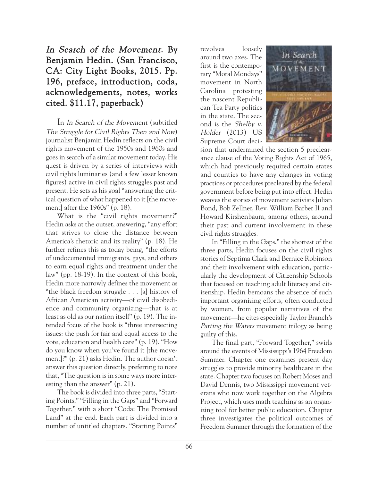# In Search of the Movement. By Benjamin Hedin. (San Francisco, CA: City Light Books, 2015. Pp. 196, preface, introduction, coda, acknowledgements, notes, works cited. \$11.17, paperback)

In In Search of the Movement (subtitled The Struggle for Civil Rights Then and Now) journalist Benjamin Hedin reflects on the civil rights movement of the 1950s and 1960s and goes in search of a similar movement today. His quest is driven by a series of interviews with civil rights luminaries (and a few lesser known figures) active in civil rights struggles past and present. He sets as his goal "answering the critical question of what happened to it [the movement] after the 1960s" (p. 18).

What is the "civil rights movement?" Hedin asks at the outset, answering, "any effort that strives to close the distance between America's rhetoric and its reality" (p. 18). He further refines this as today being, "the efforts of undocumented immigrants, gays, and others to earn equal rights and treatment under the law" (pp. 18-19). In the context of this book, Hedin more narrowly defines the movement as "the black freedom struggle . . . [a] history of African American activity—of civil disobedience and community organizing—that is at least as old as our nation itself" (p. 19). The intended focus of the book is "three intersecting issues: the push for fair and equal access to the vote, education and health care" (p. 19). "How do you know when you've found it [the movement]?" (p. 21) asks Hedin. The author doesn't answer this question directly, preferring to note that, "The question is in some ways more interesting than the answer" (p. 21).

The book is divided into three parts, "Starting Points," "Filling in the Gaps" and "Forward Together," with a short "Coda: The Promised Land" at the end. Each part is divided into a number of untitled chapters. "Starting Points" revolves loosely around two axes. The first is the contemporary "Moral Mondays" movement in North Carolina protesting the nascent Republican Tea Party politics in the state. The second is the Shelby v. Holder (2013) US Supreme Court deci-



sion that undermined the section 5 preclearance clause of the Voting Rights Act of 1965, which had previously required certain states and counties to have any changes in voting practices or procedures precleared by the federal government before being put into effect. Hedin weaves the stories of movement activists Julian Bond, Bob Zellner, Rev. William Barber II and Howard Kirshenbaum, among others, around their past and current involvement in these civil rights struggles.

In "Filling in the Gaps," the shortest of the three parts, Hedin focuses on the civil rights stories of Septima Clark and Bernice Robinson and their involvement with education, particularly the development of Citizenship Schools that focused on teaching adult literacy and citizenship. Hedin bemoans the absence of such important organizing efforts, often conducted by women, from popular narratives of the movement—he cites especially Taylor Branch's Parting the Waters movement trilogy as being guilty of this.

The final part, "Forward Together," swirls around the events of Mississippi's 1964 Freedom Summer. Chapter one examines present day struggles to provide minority healthcare in the state. Chapter two focuses on Robert Moses and David Dennis, two Mississippi movement veterans who now work together on the Algebra Project, which uses math teaching as an organizing tool for better public education. Chapter three investigates the political outcomes of Freedom Summer through the formation of the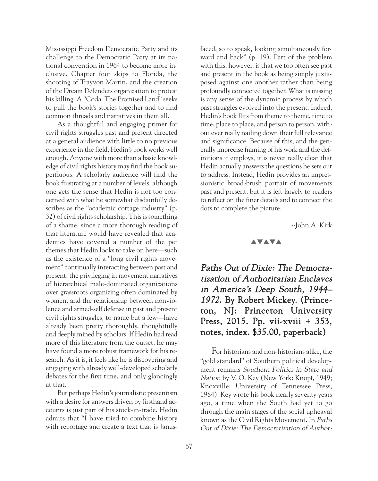Mississippi Freedom Democratic Party and its challenge to the Democratic Party at its national convention in 1964 to become more inclusive. Chapter four skips to Florida, the shooting of Trayvon Martin, and the creation of the Dream Defenders organization to protest his killing. A "Coda: The Promised Land" seeks to pull the book's stories together and to find common threads and narratives in them all.

As a thoughtful and engaging primer for civil rights struggles past and present directed at a general audience with little to no previous experience in the field, Hedin's book works well enough. Anyone with more than a basic knowledge of civil rights history may find the book superfluous. A scholarly audience will find the book frustrating at a number of levels, although one gets the sense that Hedin is not too concerned with what he somewhat disdainfully describes as the "academic cottage industry" (p. 32) of civil rights scholarship. This is something of a shame, since a more thorough reading of that literature would have revealed that academics have covered a number of the pet themes that Hedin looks to take on here—such as the existence of a "long civil rights movement" continually interacting between past and present, the privileging in movement narratives of hierarchical male-dominated organizations over grassroots organizing often dominated by women, and the relationship between nonviolence and armed-self defense in past and present civil rights struggles, to name but a few—have already been pretty thoroughly, thoughtfully and deeply mined by scholars. If Hedin had read more of this literature from the outset, he may have found a more robust framework for his research. As it is, it feels like he is discovering and engaging with already well-developed scholarly debates for the first time, and only glancingly at that.

But perhaps Hedin's journalistic presentism with a desire for answers driven by firsthand accounts is just part of his stock-in-trade. Hedin admits that "I have tried to combine history with reportage and create a text that is Janusfaced, so to speak, looking simultaneously forward and back" (p. 19). Part of the problem with this, however, is that we too often see past and present in the book as being simply juxtaposed against one another rather than being profoundly connected together. What is missing is any sense of the dynamic process by which past struggles evolved into the present. Indeed, Hedin's book flits from theme to theme, time to time, place to place, and person to person, without ever really nailing down their full relevance and significance. Because of this, and the generally imprecise framing of his work and the definitions it employs, it is never really clear that Hedin actually answers the questions he sets out to address. Instead, Hedin provides an impressionistic broad-brush portrait of movements past and present, but it is left largely to readers to reflect on the finer details and to connect the dots to complete the picture.

--John A. Kirk

## **AVAVA**

Paths Out of Dixie: The Democratization of Authoritarian Enclaves in America's Deep South, 1944– 1972. By Robert Mickey. (Princeton, NJ: Princeton University Press, 2015. Pp. vii-xviii + 353, notes, index. \$35.00, paperback)

For historians and non-historians alike, the "gold standard" of Southern political development remains Southern Politics in State and Nation by V. O. Key (New York: Knopf, 1949; Knoxville: University of Tennessee Press, 1984). Key wrote his book nearly seventy years ago, a time when the South had yet to go through the main stages of the social upheaval known as the Civil Rights Movement. In Paths Out of Dixie: The Democratization of Author-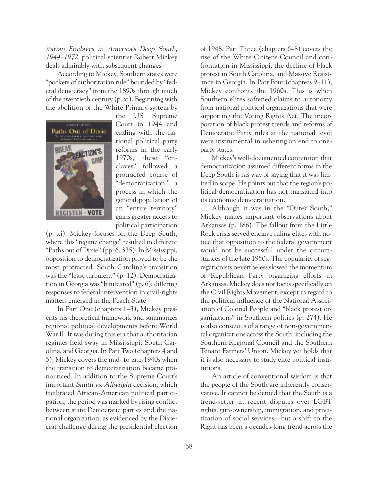itarian Enclaves in America's Deep South, 1944–1972, political scientist Robert Mickey deals admirably with subsequent changes.

According to Mickey, Southern states were "pockets of authoritarian rule" bounded by "federal democracy" from the 1890s through much of the twentieth century (p. xi). Beginning with the abolition of the White Primary system by



the US Supreme Court in 1944 and ending with the national political party reforms in the early 1970s, these "enclaves" followed a protracted course of "democratization," a process in which the general population of an "entire territory" gains greater access to political participation

(p. xi). Mickey focuses on the Deep South, where this "regime change" resulted in different "Paths out of Dixie" (pp. 6, 335). In Mississippi, opposition to democratization proved to be the most protracted. South Carolina's transition was the "least turbulent" (p. 12). Democratization in Georgia was "bifurcated" (p. 6): differing responses to federal intervention in civil-rights matters emerged in the Peach State.

In Part One (chapters 1–3), Mickey presents his theoretical framework and summarizes regional political developments before World War II. It was during this era that authoritarian regimes held sway in Mississippi, South Carolina, and Georgia. In Part Two (chapters 4 and 5), Mickey covers the mid- to late-1940s when the transition to democratization became pronounced. In addition to the Supreme Court's important Smith vs. Allwright decision, which facilitated African-American political participation, the period was marked by rising conflict between state Democratic parties and the national organization, as evidenced by the Dixiecrat challenge during the presidential election of 1948. Part Three (chapters 6–8) covers the rise of the White Citizens Council and confrontation in Mississippi, the decline of black protest in South Carolina, and Massive Resistance in Georgia. In Part Four (chapters 9–11), Mickey confronts the 1960s. This is when Southern elites softened claims to autonomy from national political organizations that were supporting the Voting Rights Act. The incorporation of black protest trends and reforms of Democratic Party rules at the national level were instrumental in ushering an end to oneparty states.

Mickey's well-documented contention that democratization assumed different forms in the Deep South is his way of saying that it was limited in scope. He points out that the region's political democratization has not translated into its economic democratization.

Although it was in the "Outer South," Mickey makes important observations about Arkansas (p. 186). The fallout from the Little Rock crisis served enclave ruling elites with notice that opposition to the federal government would not be successful under the circumstances of the late 1950s. The popularity of segregationists nevertheless slowed the momentum of Republican Party organizing efforts in Arkansas. Mickey does not focus specifically on the Civil Rights Movement, except in regard to the political influence of the National Association of Colored People and "black protest organizations" in Southern politics (p. 274). He is also conscious of a range of non-governmental organizations across the South, including the Southern Regional Council and the Southern Tenant Farmers' Union. Mickey yet holds that it is also necessary to study elite political institutions.

An article of conventional wisdom is that the people of the South are inherently conservative. It cannot be denied that the South is a trend-setter in recent disputes over LGBT rights, gun-ownership, immigration, and privatization of social services—but a shift to the Right has been a decades-long trend across the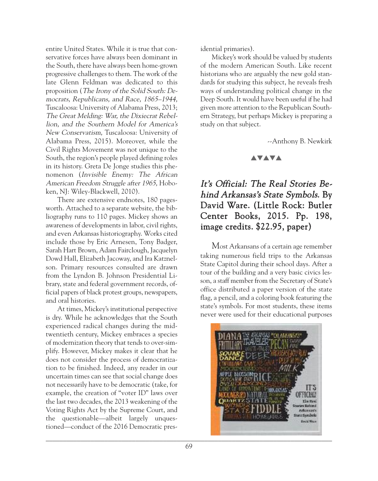entire United States. While it is true that conservative forces have always been dominant in the South, there have always been home-grown progressive challenges to them. The work of the late Glenn Feldman was dedicated to this proposition (The Irony of the Solid South: Democrats, Republicans, and Race, 1865–1944, Tuscaloosa: University of Alabama Press, 2013; The Great Melding: War, the Dixiecrat Rebellion, and the Southern Model for America's New Conservatism, Tuscaloosa: University of Alabama Press, 2015). Moreover, while the Civil Rights Movement was not unique to the South, the region's people played defining roles in its history. Greta De Jonge studies this phenomenon (Invisible Enemy: The African American Freedom Struggle after 1965, Hoboken, NJ: Wiley-Blackwell, 2010).

There are extensive endnotes, 180 pagesworth. Attached to a separate website, the bibliography runs to 110 pages. Mickey shows an awareness of developments in labor, civil rights, and even Arkansas historiography. Works cited include those by Eric Arnesen, Tony Badger, Sarah Hart Brown, Adam Fairclough, Jacquelyn Dowd Hall, Elizabeth Jacoway, and Ira Katznelson. Primary resources consulted are drawn from the Lyndon B. Johnson Presidential Library, state and federal government records, official papers of black protest groups, newspapers, and oral histories.

At times, Mickey's institutional perspective is dry. While he acknowledges that the South experienced radical changes during the midtwentieth century, Mickey embraces a species of modernization theory that tends to over-simplify. However, Mickey makes it clear that he does not consider the process of democratization to be finished. Indeed, any reader in our uncertain times can see that social change does not necessarily have to be democratic (take, for example, the creation of "voter ID" laws over the last two decades, the 2013 weakening of the Voting Rights Act by the Supreme Court, and the questionable—albeit largely unquestioned—conduct of the 2016 Democratic presidential primaries).

Mickey's work should be valued by students of the modern American South. Like recent historians who are arguably the new gold standards for studying this subject, he reveals fresh ways of understanding political change in the Deep South. It would have been useful if he had given more attention to the Republican Southern Strategy, but perhaps Mickey is preparing a study on that subject.

--Anthony B. Newkirk

## **AVAVA**

# It's Official: The Real Stories Behind Arkansas's State Symbols. By David Ware. (Little Rock: Butler Center Books, 2015. Pp. 198, image credits. \$22.95, paper)

Most Arkansans of a certain age remember taking numerous field trips to the Arkansas State Capitol during their school days. After a tour of the building and a very basic civics lesson, a staff member from the Secretary of State's office distributed a paper version of the state flag, a pencil, and a coloring book featuring the state's symbols. For most students, these items never were used for their educational purposes

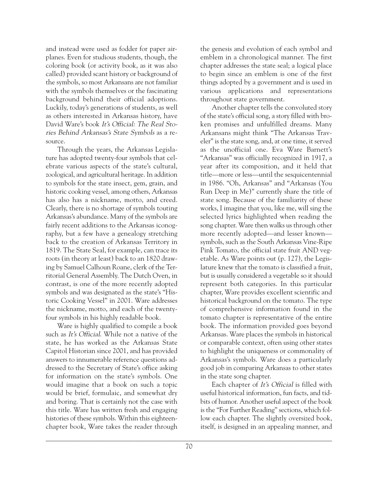and instead were used as fodder for paper airplanes. Even for studious students, though, the coloring book (or activity book, as it was also called) provided scant history or background of the symbols, so most Arkansans are not familiar with the symbols themselves or the fascinating background behind their official adoptions. Luckily, today's generations of students, as well as others interested in Arkansas history, have David Ware's book It's Official: The Real Stories Behind Arkansas's State Symbols as a resource.

Through the years, the Arkansas Legislature has adopted twenty-four symbols that celebrate various aspects of the state's cultural, zoological, and agricultural heritage. In addition to symbols for the state insect, gem, grain, and historic cooking vessel, among others, Arkansas has also has a nickname, motto, and creed. Clearly, there is no shortage of symbols touting Arkansas's abundance. Many of the symbols are fairly recent additions to the Arkansas iconography, but a few have a genealogy stretching back to the creation of Arkansas Territory in 1819. The State Seal, for example, can trace its roots (in theory at least) back to an 1820 drawing by Samuel Calhoun Roane, clerk of the Territorial General Assembly. The Dutch Oven, in contrast, is one of the more recently adopted symbols and was designated as the state's "Historic Cooking Vessel" in 2001. Ware addresses the nickname, motto, and each of the twentyfour symbols in his highly readable book.

Ware is highly qualified to compile a book such as It's Official. While not a native of the state, he has worked as the Arkansas State Capitol Historian since 2001, and has provided answers to innumerable reference questions addressed to the Secretary of State's office asking for information on the state's symbols. One would imagine that a book on such a topic would be brief, formulaic, and somewhat dry and boring. That is certainly not the case with this title. Ware has written fresh and engaging histories of these symbols. Within this eighteenchapter book, Ware takes the reader through the genesis and evolution of each symbol and emblem in a chronological manner. The first chapter addresses the state seal; a logical place to begin since an emblem is one of the first things adopted by a government and is used in various applications and representations throughout state government.

Another chapter tells the convoluted story of the state's official song, a story filled with broken promises and unfulfilled dreams. Many Arkansans might think "The Arkansas Traveler" is the state song, and, at one time, it served as the unofficial one. Eva Ware Barnett's "Arkansas" was officially recognized in 1917, a year after its composition, and it held that title—more or less—until the sesquicentennial in 1986. "Oh, Arkansas" and "Arkansas (You Run Deep in Me)" currently share the title of state song. Because of the familiarity of these works, I imagine that you, like me, will sing the selected lyrics highlighted when reading the song chapter. Ware then walks us through other more recently adopted—and lesser known symbols, such as the South Arkansas Vine-Ripe Pink Tomato, the official state fruit AND vegetable. As Ware points out (p. 127), the Legislature knew that the tomato is classified a fruit, but is usually considered a vegetable so it should represent both categories. In this particular chapter, Ware provides excellent scientific and historical background on the tomato. The type of comprehensive information found in the tomato chapter is representative of the entire book. The information provided goes beyond Arkansas. Ware places the symbols in historical or comparable context, often using other states to highlight the uniqueness or commonality of Arkansas's symbols. Ware does a particularly good job in comparing Arkansas to other states in the state song chapter.

Each chapter of It's Official is filled with useful historical information, fun facts, and tidbits of humor. Another useful aspect of the book is the "For Further Reading" sections, which follow each chapter. The slightly oversized book, itself, is designed in an appealing manner, and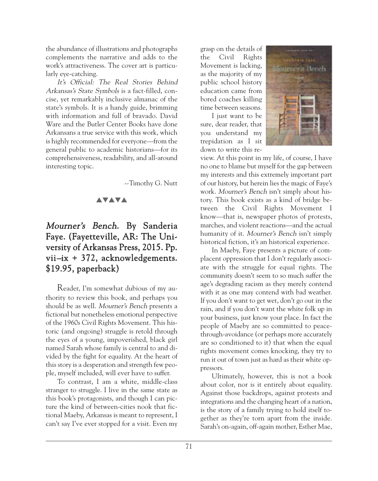the abundance of illustrations and photographs complements the narrative and adds to the work's attractiveness. The cover art is particularly eye-catching.

It's Official: The Real Stories Behind Arkansas's State Symbols is a fact-filled, concise, yet remarkably inclusive almanac of the state's symbols. It is a handy guide, brimming with information and full of bravado. David Ware and the Butler Center Books have done Arkansans a true service with this work, which is highly recommended for everyone—from the general public to academic historians—for its comprehensiveness, readability, and all-around interesting topic.

--Timothy G. Nutt

## **AVAVA**

# Mourner's Bench. By Sanderia Faye. (Fayetteville, AR: The University of Arkansas Press, 2015. Pp. vii–ix + 372, acknowledgements. \$19.95, paperback)

Reader, I'm somewhat dubious of my authority to review this book, and perhaps you should be as well. Mourner's Bench presents a fictional but nonetheless emotional perspective of the 1960s Civil Rights Movement. This historic (and ongoing) struggle is retold through the eyes of a young, impoverished, black girl named Sarah whose family is central to and divided by the fight for equality. At the heart of this story is a desperation and strength few people, myself included, will ever have to suffer.

To contrast, I am a white, middle-class stranger to struggle. I live in the same state as this book's protagonists, and though I can picture the kind of between-cities nook that fictional Maeby, Arkansas is meant to represent, I can't say I've ever stopped for a visit. Even my

grasp on the details of the Civil Rights Movement is lacking, as the majority of my public school history education came from bored coaches killing time between seasons.

I just want to be sure, dear reader, that you understand my trepidation as I sit down to write this re-



view. At this point in my life, of course, I have no one to blame but myself for the gap between my interests and this extremely important part of our history, but herein lies the magic of Faye's work. Mourner's Bench isn't simply about history. This book exists as a kind of bridge between the Civil Rights Movement I know—that is, newspaper photos of protests, marches, and violent reactions—and the actual humanity of it. Mourner's Bench isn't simply historical fiction, it's an historical experience.

In Maeby, Faye presents a picture of complacent oppression that I don't regularly associate with the struggle for equal rights. The community doesn't seem to so much suffer the age's degrading racism as they merely contend with it as one may contend with bad weather. If you don't want to get wet, don't go out in the rain, and if you don't want the white folk up in your business, just know your place. In fact the people of Maeby are so committed to peacethrough-avoidance (or perhaps more accurately are so conditioned to it) that when the equal rights movement comes knocking, they try to run it out of town just as hard as their white oppressors.

Ultimately, however, this is not a book about color, nor is it entirely about equality. Against those backdrops, against protests and integrations and the changing heart of a nation, is the story of a family trying to hold itself together as they're torn apart from the inside. Sarah's on-again, off-again mother, Esther Mae,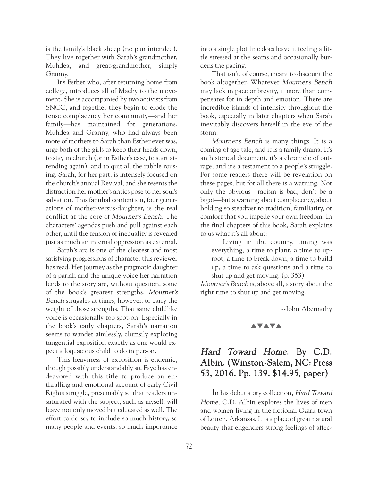is the family's black sheep (no pun intended). They live together with Sarah's grandmother, Muhdea, and great-grandmother, simply Granny.

It's Esther who, after returning home from college, introduces all of Maeby to the movement. She is accompanied by two activists from SNCC, and together they begin to erode the tense complacency her community—and her family—has maintained for generations. Muhdea and Granny, who had always been more of mothers to Sarah than Esther ever was, urge both of the girls to keep their heads down, to stay in church (or in Esther's case, to start attending again), and to quit all the rabble rousing. Sarah, for her part, is intensely focused on the church's annual Revival, and she resents the distraction her mother's antics pose to her soul's salvation. This familial contention, four generations of mother-versus-daughter, is the real conflict at the core of Mourner's Bench. The characters' agendas push and pull against each other, until the tension of inequality is revealed just as much an internal oppression as external.

Sarah's arc is one of the clearest and most satisfying progressions of character this reviewer has read. Her journey as the pragmatic daughter of a pariah and the unique voice her narration lends to the story are, without question, some of the book's greatest strengths. Mourner's Bench struggles at times, however, to carry the weight of those strengths. That same childlike voice is occasionally too spot-on. Especially in the book's early chapters, Sarah's narration seems to wander aimlessly, clumsily exploring tangential exposition exactly as one would expect a loquacious child to do in person.

This heaviness of exposition is endemic, though possibly understandably so. Faye has endeavored with this title to produce an enthralling and emotional account of early Civil Rights struggle, presumably so that readers unsaturated with the subject, such as myself, will leave not only moved but educated as well. The effort to do so, to include so much history, so many people and events, so much importance into a single plot line does leave it feeling a little stressed at the seams and occasionally burdens the pacing.

That isn't, of course, meant to discount the book altogether. Whatever Mourner's Bench may lack in pace or brevity, it more than compensates for in depth and emotion. There are incredible islands of intensity throughout the book, especially in later chapters when Sarah inevitably discovers herself in the eye of the storm.

Mourner's Bench is many things. It is a coming of age tale, and it is a family drama. It's an historical document, it's a chronicle of outrage, and it's a testament to a people's struggle. For some readers there will be revelation on these pages, but for all there is a warning. Not only the obvious—racism is bad, don't be a bigot—but a warning about complacency, about holding so steadfast to tradition, familiarity, or comfort that you impede your own freedom. In the final chapters of this book, Sarah explains to us what it's all about:

Living in the country, timing was everything, a time to plant, a time to uproot, a time to break down, a time to build up, a time to ask questions and a time to shut up and get moving. (p. 353)

Mourner's Bench is, above all, a story about the right time to shut up and get moving.

--John Abernathy

#### **AVAVA**

## Hard Toward Home. By C.D. Albin. (Winston-Salem, NC: Press 53, 2016. Pp. 139. \$14.95, paper)

In his debut story collection, Hard Toward Home, C.D. Albin explores the lives of men and women living in the fictional Ozark town of Lotten, Arkansas. It is a place of great natural beauty that engenders strong feelings of affec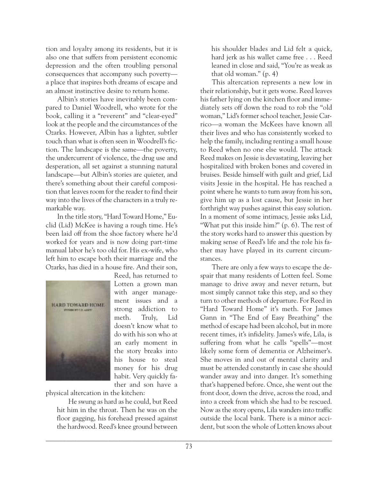tion and loyalty among its residents, but it is also one that suffers from persistent economic depression and the often troubling personal consequences that accompany such poverty a place that inspires both dreams of escape and an almost instinctive desire to return home.

Albin's stories have inevitably been compared to Daniel Woodrell, who wrote for the book, calling it a "reverent" and "clear-eyed" look at the people and the circumstances of the Ozarks. However, Albin has a lighter, subtler touch than what is often seen in Woodrell's fiction. The landscape is the same—the poverty, the undercurrent of violence, the drug use and desperation, all set against a stunning natural landscape—but Albin's stories are quieter, and there's something about their careful composition that leaves room for the reader to find their way into the lives of the characters in a truly remarkable way.

In the title story, "Hard Toward Home," Euclid (Lid) McKee is having a rough time. He's been laid off from the shoe factory where he'd worked for years and is now doing part-time manual labor he's too old for. His ex-wife, who left him to escape both their marriage and the Ozarks, has died in a house fire. And their son,



Reed, has returned to Lotten a grown man with anger management issues and a strong addiction to meth. Truly, Lid doesn't know what to do with his son who at an early moment in the story breaks into his house to steal money for his drug habit. Very quickly father and son have a

physical altercation in the kitchen:

He swung as hard as he could, but Reed hit him in the throat. Then he was on the floor gagging, his forehead pressed against the hardwood. Reed's knee ground between his shoulder blades and Lid felt a quick, hard jerk as his wallet came free . . . Reed leaned in close and said, "You're as weak as that old woman." (p. 4)

This altercation represents a new low in their relationship, but it gets worse. Reed leaves his father lying on the kitchen floor and immediately sets off down the road to rob the "old woman," Lid's former school teacher, Jessie Carrico—a woman the McKees have known all their lives and who has consistently worked to help the family, including renting a small house to Reed when no one else would. The attack Reed makes on Jessie is devastating, leaving her hospitalized with broken bones and covered in bruises. Beside himself with guilt and grief, Lid visits Jessie in the hospital. He has reached a point where he wants to turn away from his son, give him up as a lost cause, but Jessie in her forthright way pushes against this easy solution. In a moment of some intimacy, Jessie asks Lid, "What put this inside him?" (p. 6). The rest of the story works hard to answer this question by making sense of Reed's life and the role his father may have played in its current circumstances.

There are only a few ways to escape the despair that many residents of Lotten feel. Some manage to drive away and never return, but most simply cannot take this step, and so they turn to other methods of departure. For Reed in "Hard Toward Home" it's meth. For James Gann in "The End of Easy Breathing" the method of escape had been alcohol, but in more recent times, it's infidelity. James's wife, Lila, is suffering from what he calls "spells"—most likely some form of dementia or Alzheimer's. She moves in and out of mental clarity and must be attended constantly in case she should wander away and into danger. It's something that's happened before. Once, she went out the front door, down the drive, across the road, and into a creek from which she had to be rescued. Now as the story opens, Lila wanders into traffic outside the local bank. There is a minor accident, but soon the whole of Lotten knows about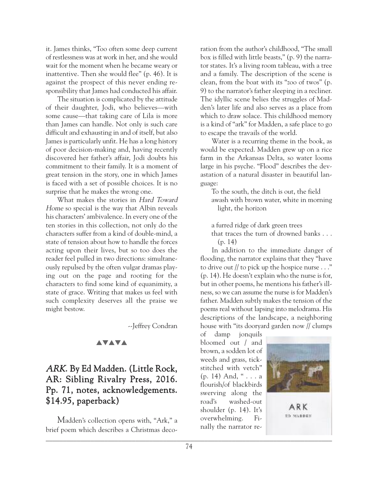it. James thinks, "Too often some deep current of restlessness was at work in her, and she would wait for the moment when he became weary or inattentive. Then she would flee" (p. 46). It is against the prospect of this never ending responsibility that James had conducted his affair.

The situation is complicated by the attitude of their daughter, Jodi, who believes—with some cause—that taking care of Lila is more than James can handle. Not only is such care difficult and exhausting in and of itself, but also James is particularly unfit. He has a long history of poor decision-making and, having recently discovered her father's affair, Jodi doubts his commitment to their family. It is a moment of great tension in the story, one in which James is faced with a set of possible choices. It is no surprise that he makes the wrong one.

What makes the stories in Hard Toward Home so special is the way that Albin reveals his characters' ambivalence. In every one of the ten stories in this collection, not only do the characters suffer from a kind of double-mind, a state of tension about how to handle the forces acting upon their lives, but so too does the reader feel pulled in two directions: simultaneously repulsed by the often vulgar dramas playing out on the page and rooting for the characters to find some kind of equanimity, a state of grace. Writing that makes us feel with such complexity deserves all the praise we might bestow.

--Jeffrey Condran

## **AVAVA**

# ARK. By Ed Madden. (Little Rock, AR: Sibling Rivalry Press, 2016. Pp. 71, notes, acknowledgements. \$14.95, paperback)

Madden's collection opens with, "Ark," a brief poem which describes a Christmas deco- $\mathcal{L} = \{ \mathcal{L} = \{ \mathcal{L} = \{ \mathcal{L} = \{ \mathcal{L} = \{ \mathcal{L} = \{ \mathcal{L} = \{ \mathcal{L} = \{ \mathcal{L} = \{ \mathcal{L} = \{ \mathcal{L} = \{ \mathcal{L} = \{ \mathcal{L} = \{ \mathcal{L} = \{ \mathcal{L} = \{ \mathcal{L} = \{ \mathcal{L} = \{ \mathcal{L} = \{ \mathcal{L} = \{ \mathcal{L} = \{ \mathcal{L} = \{ \mathcal{L} = \{ \mathcal{L} = \{ \mathcal{L} = \{ \mathcal{$ 

ration from the author's childhood, "The small box is filled with little beasts," (p. 9) the narrator states. It's a living room tableau, with a tree and a family. The description of the scene is clean, from the boat with its "zoo of twos" (p. 9) to the narrator's father sleeping in a recliner. The idyllic scene belies the struggles of Madden's later life and also serves as a place from which to draw solace. This childhood memory is a kind of "ark" for Madden, a safe place to go to escape the travails of the world.

Water is a recurring theme in the book, as would be expected. Madden grew up on a rice farm in the Arkansas Delta, so water looms large in his psyche. "Flood" describes the devastation of a natural disaster in beautiful language:

To the south, the ditch is out, the field awash with brown water, white in morning light, the horizon

a furred ridge of dark green trees

that traces the turn of drowned banks . . . (p. 14)

In addition to the immediate danger of flooding, the narrator explains that they "have to drive out // to pick up the hospice nurse  $\dots$ " (p. 14). He doesn't explain who the nurse is for, but in other poems, he mentions his father's illness, so we can assume the nurse is for Madden's father. Madden subtly makes the tension of the poems real without lapsing into melodrama. His descriptions of the landscape, a neighboring house with "its dooryard garden now // clumps

of damp jonquils bloomed out / and brown, a sodden lot of weeds and grass, tickstitched with vetch" (p. 14) And, " . . . a flourish/of blackbirds swerving along the road's washed-out shoulder (p. 14). It's overwhelming. Finally the narrator re-



ARK **ED MADDES**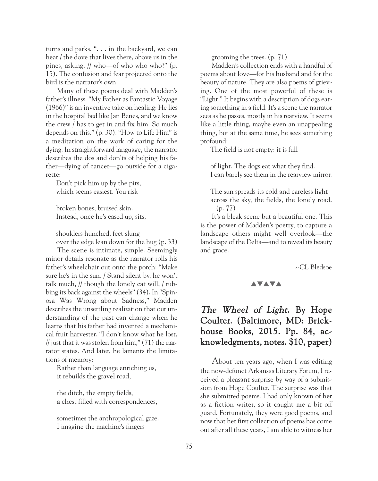turns and parks, ". . . in the backyard, we can hear / the dove that lives there, above us in the pines, asking, // who—of who who who?" (p. 15). The confusion and fear projected onto the bird is the narrator's own.

Many of these poems deal with Madden's father's illness. "My Father as Fantastic Voyage (1966)" is an inventive take on healing: He lies in the hospital bed like Jan Benes, and we know the crew / has to get in and fix him. So much depends on this." (p. 30). "How to Life Him" is a meditation on the work of caring for the dying. In straightforward language, the narrator describes the dos and don'ts of helping his father—dying of cancer—go outside for a cigarette:

Don't pick him up by the pits, which seems easiest. You risk

broken bones, bruised skin. Instead, once he's eased up, sits,

shoulders hunched, feet slung over the edge lean down for the hug (p. 33)

The scene is intimate, simple. Seemingly minor details resonate as the narrator rolls his father's wheelchair out onto the porch: "Make sure he's in the sun. / Stand silent by, he won't talk much, // though the lonely cat will, / rubbing its back against the wheels" (34). In "Spinoza Was Wrong about Sadness," Madden describes the unsettling realization that our understanding of the past can change when he learns that his father had invented a mechanical fruit harvester. "I don't know what he lost, // just that it was stolen from  $\lim$ ," (71) the narrator states. And later, he laments the limitations of memory:

Rather than language enriching us, it rebuilds the gravel road,

the ditch, the empty fields, a chest filled with correspondences,

sometimes the anthropological gaze. I imagine the machine's fingers

grooming the trees. (p. 71)

Madden's collection ends with a handful of poems about love—for his husband and for the beauty of nature. They are also poems of grieving. One of the most powerful of these is "Light." It begins with a description of dogs eating something in a field. It's a scene the narrator sees as he passes, mostly in his rearview. It seems like a little thing, maybe even an unappealing thing, but at the same time, he sees something profound:

The field is not empty: it is full

of light. The dogs eat what they find. I can barely see them in the rearview mirror.

The sun spreads its cold and careless light across the sky, the fields, the lonely road. (p. 77)

It's a bleak scene but a beautiful one. This is the power of Madden's poetry, to capture a landscape others might well overlook—the landscape of the Delta—and to reveal its beauty and grace.

--CL Bledsoe

## **AVAVA**

# The Wheel of Light. By Hope Coulter. (Baltimore, MD: Brickhouse Books, 2015. Pp. 84, acknowledgments, notes. \$10, paper)

About ten years ago, when I was editing the now-defunct Arkansas Literary Forum, I received a pleasant surprise by way of a submission from Hope Coulter. The surprise was that she submitted poems. I had only known of her as a fiction writer, so it caught me a bit off guard. Fortunately, they were good poems, and now that her first collection of poems has come out after all these years, I am able to witness her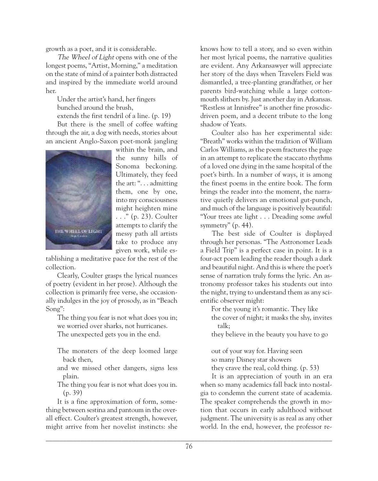growth as a poet, and it is considerable.

The Wheel of Light opens with one of the longest poems, "Artist, Morning," a meditation on the state of mind of a painter both distracted and inspired by the immediate world around her.

Under the artist's hand, her fingers bunched around the brush,

extends the first tendril of a line. (p. 19) But there is the smell of coffee wafting

through the air, a dog with needs, stories about an ancient Anglo-Saxon poet-monk jangling



within the brain, and the sunny hills of Sonoma beckoning. Ultimately, they feed the art: ". . . admitting them, one by one, into my consciousness might heighten mine . . ." (p. 23). Coulter attempts to clarify the messy path all artists take to produce any given work, while es-

tablishing a meditative pace for the rest of the collection.

Clearly, Coulter grasps the lyrical nuances of poetry (evident in her prose). Although the collection is primarily free verse, she occasionally indulges in the joy of prosody, as in "Beach Song":

The thing you fear is not what does you in; we worried over sharks, not hurricanes.

The unexpected gets you in the end.

The monsters of the deep loomed large back then,

- and we missed other dangers, signs less plain.
- The thing you fear is not what does you in. (p. 39)

It is a fine approximation of form, something between sestina and pantoum in the overall effect. Coulter's greatest strength, however, might arrive from her novelist instincts: she knows how to tell a story, and so even within her most lyrical poems, the narrative qualities are evident. Any Arkansawyer will appreciate her story of the days when Travelers Field was dismantled, a tree-planting grandfather, or her parents bird-watching while a large cottonmouth slithers by. Just another day in Arkansas. "Restless at Innisfree" is another fine prosodicdriven poem, and a decent tribute to the long shadow of Yeats.

Coulter also has her experimental side: "Breath" works within the tradition of William Carlos Williams, as the poem fractures the page in an attempt to replicate the staccato rhythms of a loved one dying in the same hospital of the poet's birth. In a number of ways, it is among the finest poems in the entire book. The form brings the reader into the moment, the narrative quietly delivers an emotional gut-punch, and much of the language is positively beautiful: "Your trees ate light . . . Dreading some awful symmetry" (p. 44).

The best side of Coulter is displayed through her personas. "The Astronomer Leads a Field Trip" is a perfect case in point. It is a four-act poem leading the reader though a dark and beautiful night. And this is where the poet's sense of narration truly forms the lyric. An astronomy professor takes his students out into the night, trying to understand them as any scientific observer might:

For the young it's romantic. They like the cover of night; it masks the shy, invites talk;

they believe in the beauty you have to go

out of your way for. Having seen so many Disney star showers they crave the real, cold thing. (p. 53)

It is an appreciation of youth in an era when so many academics fall back into nostalgia to condemn the current state of academia. The speaker comprehends the growth in motion that occurs in early adulthood without judgment. The university is as real as any other world. In the end, however, the professor re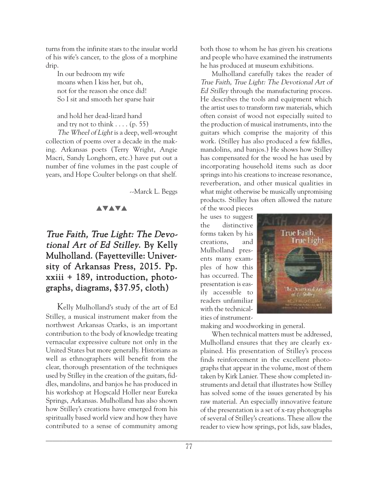turns from the infinite stars to the insular world of his wife's cancer, to the gloss of a morphine drip.

In our bedroom my wife moans when I kiss her, but oh, not for the reason she once did! So I sit and smooth her sparse hair

and hold her dead-lizard hand and try not to think  $\dots$  (p. 55)

The Wheel of Light is a deep, well-wrought collection of poems over a decade in the making. Arkansas poets (Terry Wright, Angie Macri, Sandy Longhorn, etc.) have put out a number of fine volumes in the past couple of years, and Hope Coulter belongs on that shelf.

--Marck L. Beggs

#### **AVAVA**

# True Faith, True Light: The Devotional Art of Ed Stilley. By Kelly Mulholland. (Fayetteville: University of Arkansas Press, 2015. Pp. xxiii + 189, introduction, photographs, diagrams, \$37.95, cloth)

Kelly Mulholland's study of the art of Ed Stilley, a musical instrument maker from the northwest Arkansas Ozarks, is an important contribution to the body of knowledge treating vernacular expressive culture not only in the United States but more generally. Historians as well as ethnographers will benefit from the clear, thorough presentation of the techniques used by Stilley in the creation of the guitars, fiddles, mandolins, and banjos he has produced in his workshop at Hogscald Holler near Eureka Springs, Arkansas. Mulholland has also shown how Stilley's creations have emerged from his spiritually based world view and how they have contributed to a sense of community among both those to whom he has given his creations and people who have examined the instruments he has produced at museum exhibitions.

Mulholland carefully takes the reader of True Faith, True Light: The Devotional Art of Ed Stilley through the manufacturing process. He describes the tools and equipment which the artist uses to transform raw materials, which often consist of wood not especially suited to the production of musical instruments, into the guitars which comprise the majority of this work. (Stilley has also produced a few fiddles, mandolins, and banjos.) He shows how Stilley has compensated for the wood he has used by incorporating household items such as door springs into his creations to increase resonance, reverberation, and other musical qualities in what might otherwise be musically unpromising products. Stilley has often allowed the nature

of the wood pieces he uses to suggest the distinctive forms taken by his creations, and Mulholland presents many examples of how this has occurred. The presentation is easily accessible to readers unfamiliar with the technicalities of instrument-



making and woodworking in general.

When technical matters must be addressed, Mulholland ensures that they are clearly explained. His presentation of Stilley's process finds reinforcement in the excellent photographs that appear in the volume, most of them taken by Kirk Lanier. These show completed instruments and detail that illustrates how Stilley has solved some of the issues generated by his raw material. An especially innovative feature of the presentation is a set of x-ray photographs of several of Stilley's creations. These allow the reader to view how springs, pot lids, saw blades,